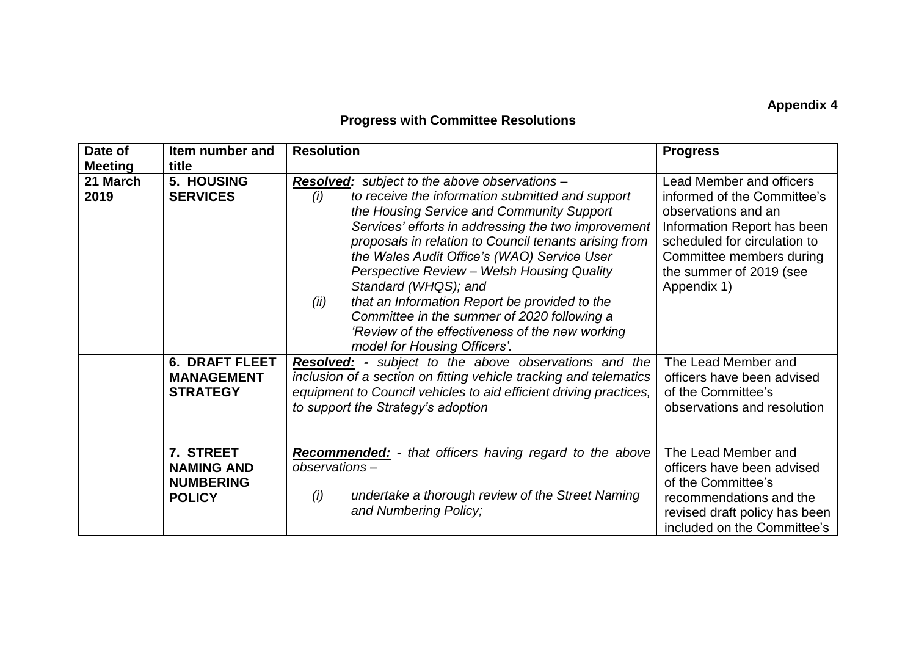## **Appendix 4**

## **Progress with Committee Resolutions**

| Date of<br><b>Meeting</b> | Item number and<br>title                                            | <b>Resolution</b>                                                                                                                                                                                                                                                                                                                                                                                                                                                                                                                                                                            | <b>Progress</b>                                                                                                                                                                                                            |
|---------------------------|---------------------------------------------------------------------|----------------------------------------------------------------------------------------------------------------------------------------------------------------------------------------------------------------------------------------------------------------------------------------------------------------------------------------------------------------------------------------------------------------------------------------------------------------------------------------------------------------------------------------------------------------------------------------------|----------------------------------------------------------------------------------------------------------------------------------------------------------------------------------------------------------------------------|
| 21 March<br>2019          | 5. HOUSING<br><b>SERVICES</b>                                       | <b>Resolved:</b> subject to the above observations -<br>to receive the information submitted and support<br>(i)<br>the Housing Service and Community Support<br>Services' efforts in addressing the two improvement<br>proposals in relation to Council tenants arising from<br>the Wales Audit Office's (WAO) Service User<br>Perspective Review - Welsh Housing Quality<br>Standard (WHQS); and<br>that an Information Report be provided to the<br>(ii)<br>Committee in the summer of 2020 following a<br>'Review of the effectiveness of the new working<br>model for Housing Officers'. | <b>Lead Member and officers</b><br>informed of the Committee's<br>observations and an<br>Information Report has been<br>scheduled for circulation to<br>Committee members during<br>the summer of 2019 (see<br>Appendix 1) |
|                           | <b>6. DRAFT FLEET</b><br><b>MANAGEMENT</b><br><b>STRATEGY</b>       | <b>Resolved:</b> - subject to the above observations and the<br>inclusion of a section on fitting vehicle tracking and telematics<br>equipment to Council vehicles to aid efficient driving practices,<br>to support the Strategy's adoption                                                                                                                                                                                                                                                                                                                                                 | The Lead Member and<br>officers have been advised<br>of the Committee's<br>observations and resolution                                                                                                                     |
|                           | 7. STREET<br><b>NAMING AND</b><br><b>NUMBERING</b><br><b>POLICY</b> | <b>Recommended:</b> - that officers having regard to the above<br>observations-<br>undertake a thorough review of the Street Naming<br>(i)<br>and Numbering Policy;                                                                                                                                                                                                                                                                                                                                                                                                                          | The Lead Member and<br>officers have been advised<br>of the Committee's<br>recommendations and the<br>revised draft policy has been<br>included on the Committee's                                                         |